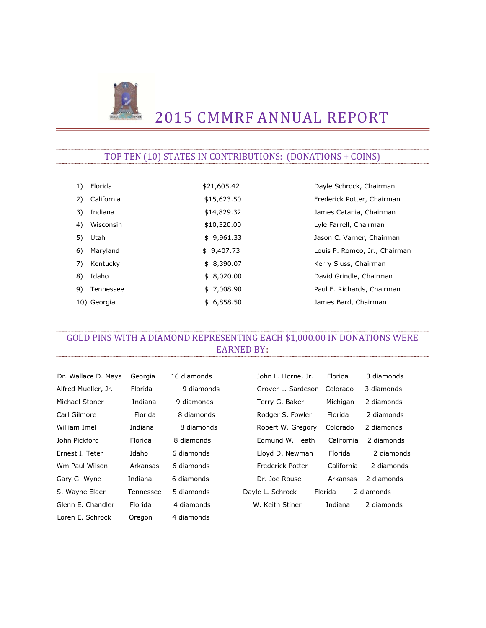

# 2015 CMMRF ANNUAL REPORT

### TOP TEN (10) STATES IN CONTRIBUTIONS: (DONATIONS + COINS)

| 1) | Florida     | \$21,605.42 | Dayle Schrock, Chairman       |
|----|-------------|-------------|-------------------------------|
| 2) | California  | \$15,623.50 | Frederick Potter, Chairman    |
| 3) | Indiana     | \$14,829.32 | James Catania, Chairman       |
| 4) | Wisconsin   | \$10,320.00 | Lyle Farrell, Chairman        |
|    | 5) Utah     | \$9,961.33  | Jason C. Varner, Chairman     |
| 6) | Maryland    | \$9,407.73  | Louis P. Romeo, Jr., Chairman |
| 7) | Kentucky    | \$8,390.07  | Kerry Sluss, Chairman         |
| 8) | Idaho       | \$8,020.00  | David Grindle, Chairman       |
| 9) | Tennessee   | \$7,008.90  | Paul F. Richards, Chairman    |
|    | 10) Georgia | \$6,858.50  | James Bard, Chairman          |

### GOLD PINS WITH A DIAMOND REPRESENTING EACH \$1,000.00 IN DONATIONS WERE EARNED BY:

| Dr. Wallace D. Mays | Georgia   | 16 diamonds | John L. Horne, Jr.      | Florida    | 3 diamonds |
|---------------------|-----------|-------------|-------------------------|------------|------------|
| Alfred Mueller, Jr. | Florida   | 9 diamonds  | Grover L. Sardeson      | Colorado   | 3 diamonds |
| Michael Stoner      | Indiana   | 9 diamonds  | Terry G. Baker          | Michigan   | 2 diamonds |
| Carl Gilmore        | Florida   | 8 diamonds  | Rodger S. Fowler        | Florida    | 2 diamonds |
| William Imel        | Indiana   | 8 diamonds  | Robert W. Gregory       | Colorado   | 2 diamonds |
| John Pickford       | Florida   | 8 diamonds  | Edmund W. Heath         | California | 2 diamonds |
| Ernest I. Teter     | Idaho     | 6 diamonds  | Lloyd D. Newman         | Florida    | 2 diamonds |
| Wm Paul Wilson      | Arkansas  | 6 diamonds  | <b>Frederick Potter</b> | California | 2 diamonds |
| Gary G. Wyne        | Indiana   | 6 diamonds  | Dr. Joe Rouse           | Arkansas   | 2 diamonds |
| S. Wayne Elder      | Tennessee | 5 diamonds  | Dayle L. Schrock        | Florida    | 2 diamonds |
| Glenn E. Chandler   | Florida   | 4 diamonds  | W. Keith Stiner         | Indiana    | 2 diamonds |
| Loren E. Schrock    | Oregon    | 4 diamonds  |                         |            |            |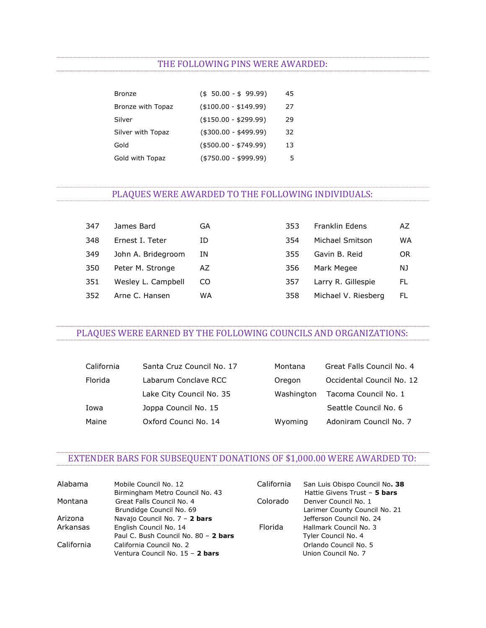#### THE FOLLOWING PINS WERE AWARDED:

| <b>Bronze</b>     | $($ \$ 50.00 - \$ 99.99) | 45 |
|-------------------|--------------------------|----|
| Bronze with Topaz | $($ \$100.00 - \$149.99) | 27 |
| Silver            | $($ \$150.00 - \$299.99) | 29 |
| Silver with Topaz | $($300.00 - $499.99)$    | 32 |
| Gold              | $($ \$500.00 - \$749.99) | 13 |
| Gold with Topaz   | $( $750.00 - $999.99)$   | 5  |

#### PLAQUES WERE AWARDED TO THE FOLLOWING INDIVIDUALS:

| 347 | James Bard         | GA | 353 | Franklin Edens      | AZ |
|-----|--------------------|----|-----|---------------------|----|
| 348 | Ernest I. Teter    | ID | 354 | Michael Smitson     | WA |
| 349 | John A. Bridegroom | ΙN | 355 | Gavin B. Reid       | OR |
| 350 | Peter M. Stronge   | AZ | 356 | Mark Megee          | NJ |
| 351 | Wesley L. Campbell | CO | 357 | Larry R. Gillespie  | FL |
| 352 | Arne C. Hansen     | WA | 358 | Michael V. Riesberg | FL |

#### PLAQUES WERE EARNED BY THE FOLLOWING COUNCILS AND ORGANIZATIONS:

| California | Santa Cruz Council No. 17 | Montana    | Great Falls Council No. 4 |
|------------|---------------------------|------------|---------------------------|
| Florida    | Labarum Conclave RCC      | Oregon     | Occidental Council No. 12 |
|            | Lake City Council No. 35  | Washington | Tacoma Council No. 1      |
| Iowa       | Joppa Council No. 15      |            | Seattle Council No. 6     |
| Maine      | Oxford Counci No. 14      | Wyoming    | Adoniram Council No. 7    |

## EXTENDER BARS FOR SUBSEQUENT DONATIONS OF \$1,000.00 WERE AWARDED TO:

| Alabama    | Mobile Council No. 12                | California | San Luis Obispo Council No. 38 |
|------------|--------------------------------------|------------|--------------------------------|
|            | Birmingham Metro Council No. 43      |            | Hattie Givens Trust - 5 bars   |
| Montana    | Great Falls Council No. 4            | Colorado   | Denver Council No. 1           |
|            | Brundidge Council No. 69             |            | Larimer County Council No. 21  |
| Arizona    | Navajo Council No. 7 - 2 bars        |            | Jefferson Council No. 24       |
| Arkansas   | English Council No. 14               | Florida    | Hallmark Council No. 3         |
|            | Paul C. Bush Council No. 80 - 2 bars |            | Tyler Council No. 4            |
| California | California Council No. 2             |            | Orlando Council No. 5          |
|            | Ventura Council No. 15 - 2 bars      |            | Union Council No. 7            |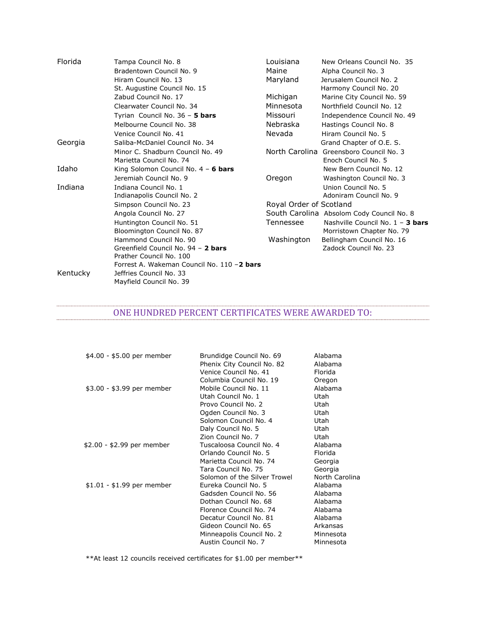| Florida  | Tampa Council No. 8                        | Louisiana               | New Orleans Council No. 35                |
|----------|--------------------------------------------|-------------------------|-------------------------------------------|
|          | Bradentown Council No. 9                   | Maine                   | Alpha Council No. 3                       |
|          | Hiram Council No. 13                       | Maryland                | Jerusalem Council No. 2                   |
|          | St. Augustine Council No. 15               |                         | Harmony Council No. 20                    |
|          | Zabud Council No. 17                       | Michigan                | Marine City Council No. 59                |
|          | Clearwater Council No. 34                  | Minnesota               | Northfield Council No. 12                 |
|          | Tyrian Council No. 36 - 5 bars             | Missouri                | Independence Council No. 49               |
|          | Melbourne Council No. 38                   | Nebraska                | Hastings Council No. 8                    |
|          | Venice Council No. 41                      | Nevada                  | Hiram Council No. 5                       |
| Georgia  | Saliba-McDaniel Council No. 34             |                         | Grand Chapter of O.E. S.                  |
|          | Minor C. Shadburn Council No. 49           |                         | North Carolina Greensboro Council No. 3   |
|          | Marietta Council No. 74                    |                         | Enoch Council No. 5                       |
| Idaho    | King Solomon Council No. $4 - 6$ bars      |                         | New Bern Council No. 12                   |
|          | Jeremiah Council No. 9                     | Oregon                  | Washington Council No. 3                  |
| Indiana  | Indiana Council No. 1                      |                         | Union Council No. 5                       |
|          | Indianapolis Council No. 2                 |                         | Adoniram Council No. 9                    |
|          | Simpson Council No. 23                     | Royal Order of Scotland |                                           |
|          | Angola Council No. 27                      |                         | South Carolina Absolom Cody Council No. 8 |
|          | Huntington Council No. 51                  | Tennessee               | Nashville Council No. 1 - 3 bars          |
|          | Bloomington Council No. 87                 |                         | Morristown Chapter No. 79                 |
|          | Hammond Council No. 90                     | Washington              | Bellingham Council No. 16                 |
|          | Greenfield Council No. 94 - 2 bars         |                         | Zadock Council No. 23                     |
|          | Prather Council No. 100                    |                         |                                           |
|          | Forrest A. Wakeman Council No. 110 -2 bars |                         |                                           |
| Kentucky | Jeffries Council No. 33                    |                         |                                           |
|          | Mayfield Council No. 39                    |                         |                                           |

### ONE HUNDRED PERCENT CERTIFICATES WERE AWARDED TO:

| \$4.00 - \$5.00 per member | Brundidge Council No. 69<br>Phenix City Council No. 82 | Alabama<br>Alabama |
|----------------------------|--------------------------------------------------------|--------------------|
|                            | Venice Council No. 41                                  | Florida            |
|                            | Columbia Council No. 19                                | Oregon             |
| \$3.00 - \$3.99 per member | Mobile Council No. 11                                  | Alabama            |
|                            | Utah Council No. 1                                     | Utah               |
|                            | Provo Council No. 2                                    | Utah               |
|                            | Ogden Council No. 3                                    | Utah               |
|                            | Solomon Council No. 4                                  | Utah               |
|                            | Daly Council No. 5                                     | Utah               |
|                            | Zion Council No. 7                                     | Utah               |
| \$2.00 - \$2.99 per member | Tuscaloosa Council No. 4                               | Alabama            |
|                            | Orlando Council No. 5                                  | Florida            |
|                            | Marietta Council No. 74                                | Georgia            |
|                            | Tara Council No. 75                                    | Georgia            |
|                            | Solomon of the Silver Trowel                           | North Carolina     |
| $$1.01 - $1.99$ per member | Eureka Council No. 5                                   | Alabama            |
|                            | Gadsden Council No. 56                                 | Alabama            |
|                            | Dothan Council No. 68                                  | Alabama            |
|                            | Florence Council No. 74                                | Alabama            |
|                            | Decatur Council No. 81                                 | Alabama            |
|                            | Gideon Council No. 65                                  | Arkansas           |
|                            | Minneapolis Council No. 2                              | Minnesota          |
|                            | Austin Council No. 7                                   | Minnesota          |

\*\*At least 12 councils received certificates for \$1.00 per member\*\*